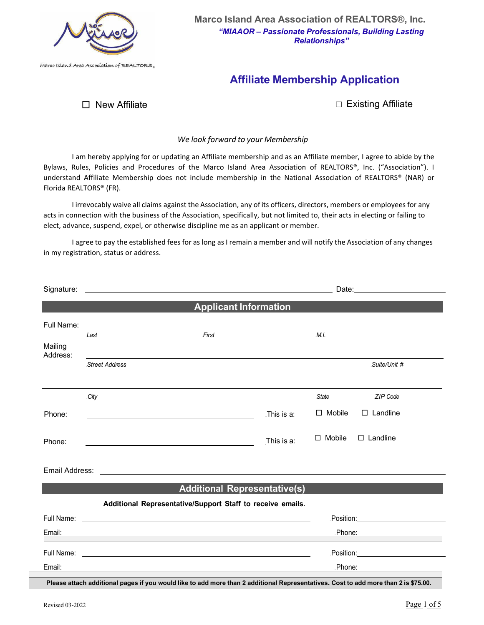

# **Affiliate Membership Application**

□ New Affiliate ☐ Existing Affiliate

# *We look forward to your Membership*

I am hereby applying for or updating an Affiliate membership and as an Affiliate member, I agree to abide by the Bylaws, Rules, Policies and Procedures of the Marco Island Area Association of REALTORS®, Inc. ("Association"). I understand Affiliate Membership does not include membership in the National Association of REALTORS® (NAR) or Florida REALTORS® (FR).

I irrevocably waive all claims against the Association, any of its officers, directors, members or employees for any acts in connection with the business of the Association, specifically, but not limited to, their acts in electing or failing to elect, advance, suspend, expel, or otherwise discipline me as an applicant or member.

I agree to pay the established fees for as long as I remain a member and will notify the Association of any changes in my registration, status or address.

|                                                            |                                                                                                                                                                                                                                      | <b>Applicant Information</b>                                                                                                        |                               |               |                                                                                                                                                                                                                                |  |  |  |  |
|------------------------------------------------------------|--------------------------------------------------------------------------------------------------------------------------------------------------------------------------------------------------------------------------------------|-------------------------------------------------------------------------------------------------------------------------------------|-------------------------------|---------------|--------------------------------------------------------------------------------------------------------------------------------------------------------------------------------------------------------------------------------|--|--|--|--|
| Full Name:                                                 | <u> 1989 - Jan Stern Stern Stern Stern Stern Stern Stern Stern Stern Stern Stern Stern Stern Stern Stern Stern Stern Stern Stern Stern Stern Stern Stern Stern Stern Stern Stern Stern Stern Stern Stern Stern Stern Stern Stern</u> |                                                                                                                                     |                               |               |                                                                                                                                                                                                                                |  |  |  |  |
|                                                            | Last                                                                                                                                                                                                                                 | First                                                                                                                               |                               | M.I.          |                                                                                                                                                                                                                                |  |  |  |  |
| Mailing<br>Address:                                        |                                                                                                                                                                                                                                      |                                                                                                                                     |                               |               |                                                                                                                                                                                                                                |  |  |  |  |
|                                                            | <b>Street Address</b>                                                                                                                                                                                                                |                                                                                                                                     |                               |               | Suite/Unit #                                                                                                                                                                                                                   |  |  |  |  |
|                                                            | City                                                                                                                                                                                                                                 |                                                                                                                                     |                               | State         | ZIP Code                                                                                                                                                                                                                       |  |  |  |  |
| Phone:                                                     |                                                                                                                                                                                                                                      | <u> 1989 - Jan Samuel Barbara, margaret eta idazlea (h. 1982).</u>                                                                  | This is a:                    | $\Box$ Mobile | $\Box$ Landline                                                                                                                                                                                                                |  |  |  |  |
| Phone:                                                     |                                                                                                                                                                                                                                      |                                                                                                                                     | This is a:                    | $\Box$ Mobile | $\Box$ Landline                                                                                                                                                                                                                |  |  |  |  |
|                                                            |                                                                                                                                                                                                                                      |                                                                                                                                     |                               |               |                                                                                                                                                                                                                                |  |  |  |  |
| <b>Additional Representative(s)</b>                        |                                                                                                                                                                                                                                      |                                                                                                                                     |                               |               |                                                                                                                                                                                                                                |  |  |  |  |
| Additional Representative/Support Staff to receive emails. |                                                                                                                                                                                                                                      |                                                                                                                                     |                               |               |                                                                                                                                                                                                                                |  |  |  |  |
| Full Name:                                                 |                                                                                                                                                                                                                                      | <u> 1990 - Johann Stoff, amerikansk politiker (* 1900)</u>                                                                          | Position: <b>Example 2019</b> |               |                                                                                                                                                                                                                                |  |  |  |  |
|                                                            | Phone: National Phone State Contract Contract Contract Contract Contract Contract Contract Contract Contract Contract Contract Contract Contract Contract Contract Contract Contract Contract Contract Contract Contract Contr       |                                                                                                                                     |                               |               |                                                                                                                                                                                                                                |  |  |  |  |
|                                                            |                                                                                                                                                                                                                                      |                                                                                                                                     |                               |               | Position: with the contract of the contract of the contract of the contract of the contract of the contract of the contract of the contract of the contract of the contract of the contract of the contract of the contract of |  |  |  |  |
| Email:                                                     |                                                                                                                                                                                                                                      |                                                                                                                                     |                               | Phone:        |                                                                                                                                                                                                                                |  |  |  |  |
|                                                            |                                                                                                                                                                                                                                      | Please attach additional pages if you would like to add more than 2 additional Representatives. Cost to add more than 2 is \$75.00. |                               |               |                                                                                                                                                                                                                                |  |  |  |  |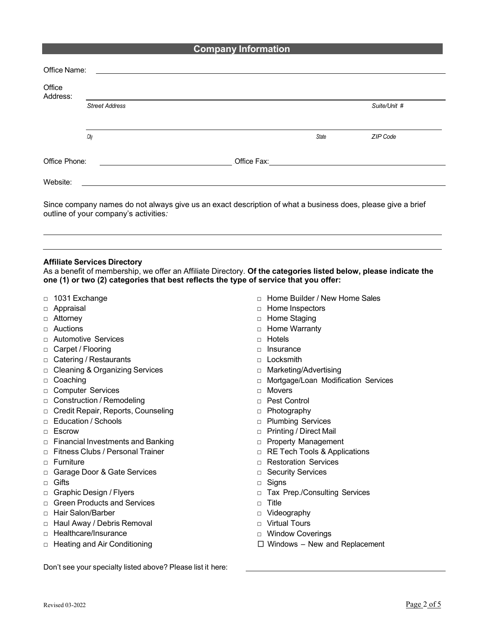# **Company Information**

| Office<br>Address: |                                                     |       |              |
|--------------------|-----------------------------------------------------|-------|--------------|
|                    | Street Address                                      |       | Suite/Unit # |
|                    | .City                                               | State | ZIP Code     |
| Office Phone:      | <u> 1989 - Johann Stoff, amerikansk politiker (</u> |       |              |
| Website:           |                                                     |       |              |

mpany names do not always give us an exact description of what a business does, please give a brief outline of your company's activities*:* 

# **Affiliate Services Directory**

As a benefit of membership, we offer an Affiliate Directory. **Of the categories listed below, please indicate the one (1) or two (2) categories that best reflects the type of service that you offer:**

- □ 1031 Exchange
- □ Appraisal
- □ Attorney
- □ Auctions
- □ Automotive Services
- □ Carpet / Flooring
- □ Catering / Restaurants
- □ Cleaning & Organizing Services
- □ Coaching
- □ Computer Services
- □ Construction / Remodeling
- □ Credit Repair, Reports, Counseling
- □ Education / Schools
- □ Escrow
- □ Financial Investments and Banking
- □ Fitness Clubs / Personal Trainer
- □ Furniture
- □ Garage Door & Gate Services
- □ Gifts
- □ Graphic Design / Flyers
- □ Green Products and Services
- □ Hair Salon/Barber
- □ Haul Away / Debris Removal
- □ Healthcare/Insurance
- □ Heating and Air Conditioning
- □ Home Builder / New Home Sales
- □ Home Inspectors
- □ Home Staging
- □ Home Warranty
- □ Hotels
- □ Insurance
- □ Locksmith
- □ Marketing/Advertising
- □ Mortgage/Loan Modification Services
- □ Movers
- □ Pest Control
- □ Photography
- □ Plumbing Services
- □ Printing / Direct Mail
- □ Property Management
- □ RE Tech Tools & Applications
- □ Restoration Services
- □ Security Services
- □ Signs
- □ Tax Prep./Consulting Services
- □ Title
- □ Videography
- □ Virtual Tours
- □ Window Coverings
- $\square$  Windows New and Replacement

Don't see your specialty listed above? Please list it here: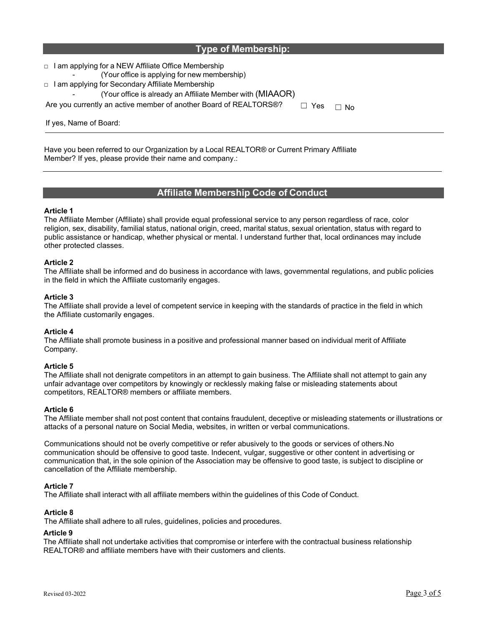| <b>Type of Membership:</b> |  |
|----------------------------|--|
|----------------------------|--|

□ I am applying for a NEW Affiliate Office Membership (Your office is applying for new membership) □ I am applying for Secondary Affiliate Membership (Your office is already an Affiliate Member with  $(MIAAOR)$ ) Are you currently an active member of another Board of REALTORS®?  $\Box$  Yes  $\Box$  No

If yes, Name of Board:

Have you been referred to our Organization by a Local REALTOR® or Current Primary Affiliate Member? If yes, please provide their name and company.:

# **Affiliate Membership Code of Conduct**

## **Article 1**

The Affiliate Member (Affiliate) shall provide equal professional service to any person regardless of race, color religion, sex, disability, familial status, national origin, creed, marital status, sexual orientation, status with regard to public assistance or handicap, whether physical or mental. I understand further that, local ordinances may include other protected classes.

## **Article 2**

The Affiliate shall be informed and do business in accordance with laws, governmental regulations, and public policies in the field in which the Affiliate customarily engages.

## **Article 3**

The Affiliate shall provide a level of competent service in keeping with the standards of practice in the field in which the Affiliate customarily engages.

#### **Article 4**

The Affiliate shall promote business in a positive and professional manner based on individual merit of Affiliate Company.

#### **Article 5**

The Affiliate shall not denigrate competitors in an attempt to gain business. The Affiliate shall not attempt to gain any unfair advantage over competitors by knowingly or recklessly making false or misleading statements about competitors, REALTOR® members or affiliate members.

# **Article 6**

The Affiliate member shall not post content that contains fraudulent, deceptive or misleading statements or illustrations or attacks of a personal nature on Social Media, websites, in written or verbal communications.

Communications should not be overly competitive or refer abusively to the goods or services of others.No communication should be offensive to good taste. Indecent, vulgar, suggestive or other content in advertising or communication that, in the sole opinion of the Association may be offensive to good taste, is subject to discipline or cancellation of the Affiliate membership.

# **Article 7**

The Affiliate shall interact with all affiliate members within the guidelines of this Code of Conduct.

# **Article 8**

The Affiliate shall adhere to all rules, guidelines, policies and procedures.

#### **Article 9**

The Affiliate shall not undertake activities that compromise or interfere with the contractual business relationship REALTOR® and affiliate members have with their customers and clients.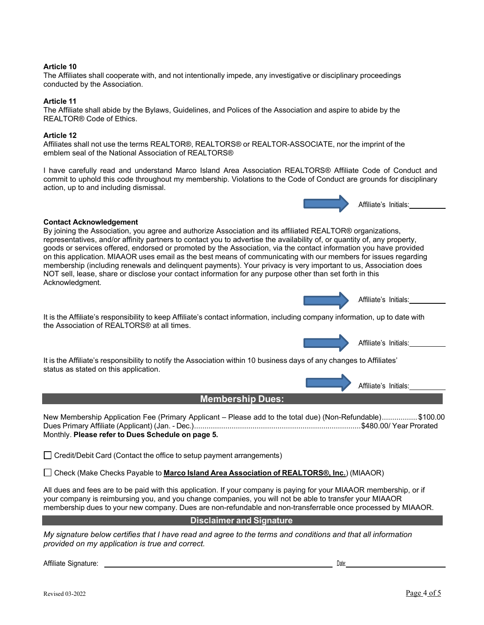## **Article 10**

The Affiliates shall cooperate with, and not intentionally impede, any investigative or disciplinary proceedings conducted by the Association.

#### **Article 11**

The Affiliate shall abide by the Bylaws, Guidelines, and Polices of the Association and aspire to abide by the REALTOR® Code of Ethics.

#### **Article 12**

Affiliates shall not use the terms REALTOR®, REALTORS® or REALTOR-ASSOCIATE, nor the imprint of the emblem seal of the National Association of REALTORS®

I have carefully read and understand Marco Island Area Association REALTORS® Affiliate Code of Conduct and commit to uphold this code throughout my membership. Violations to the Code of Conduct are grounds for disciplinary action, up to and including dismissal.



## **Contact Acknowledgement**

By joining the Association, you agree and authorize Association and its affiliated REALTOR® organizations, representatives, and/or affinity partners to contact you to advertise the availability of, or quantity of, any property, goods or services offered, endorsed or promoted by the Association, via the contact information you have provided on this application. MIAAOR uses email as the best means of communicating with our members for issues regarding membership (including renewals and delinquent payments). Your privacy is very important to us, Association does NOT sell, lease, share or disclose your contact information for any purpose other than set forth in this Acknowledgment.

<sup>2</sup> <sup>5</sup> <sup>B</sup>Affiliate's Initials:

It is the Affiliate's responsibility to keep Affiliate's contact information, including company information, up to date with the Association of REALTORS® at all times.

Affiliate's Initials:

It is the Affiliate's responsibility to notify the Association within 10 business days of any changes to Affiliates' status as stated on this application.

Affiliate's Initials:

New Membership Application Fee (Primary Applicant – Please add to the total due) (Non-Refundable)................. \$100.00 Dues Primary Affiliate (Applicant) (Jan. - Dec.)................................................................................\$480.00/ Year Prorated Monthly. **Please refer to Dues Schedule on page 5.**

**Membership Dues:**

 $\Box$  Credit/Debit Card (Contact the office to setup payment arrangements)

Check (Make Checks Payable to **Marco Island Area Association of REALTORS®, Inc.**) (MIAAOR)

All dues and fees are to be paid with this application. If your company is paying for your MIAAOR membership, or if your company is reimbursing you, and you change companies, you will not be able to transfer your MIAAOR membership dues to your new company. Dues are non-refundable and non-transferrable once processed by MIAAOR.

# **Disclaimer and Signature**

*My signature below certifies that I have read and agree to the terms and conditions and that all information provided on my application is true and correct.*

Affiliate Signature: 2 8 BDate: 2 8 BDate: 2 8 BDate: 2 8 BDate: 2 8 BDate: 2 8 BDate: 2 8 BDate: 2 8 BDate: 2 8 BDate: 2 8 BDate: 2 8 BDate: 2 8 BDate: 2 8 BDate: 2 8 BDate: 2 8 BDate: 2 8 BDate: 2 8 BDate: 2 8 BDate: 2 8